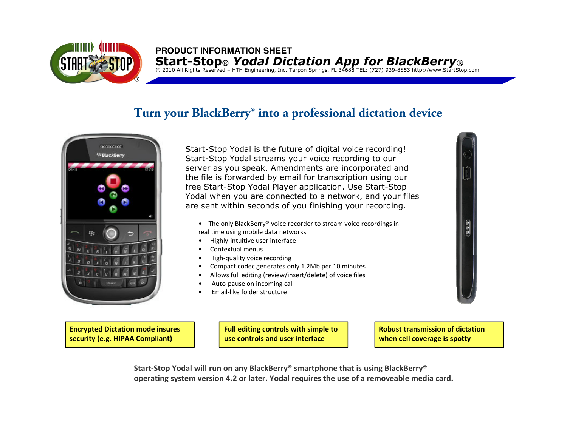

# **PRODUCT INFORMATION SHEET**Start-Stop® *Yodal Dictation App for BlackBerry*®<br>© 2010 All Rights Reserved – HTH Engineering, Inc. Tarpon Springs, FL 34688 TEL: (727) 939-8853 http://www.StartStop.com

### **Turn your BlackBerry® into a professional dictation device**



Start-Stop Yodal is the future of digital voice recording! Start-Stop Yodal streams your voice recording to our server as you speak. Amendments are incorporated and the file is forwarded by email for transcription using our free Start-Stop Yodal Player application. Use Start-Stop Yodal when you are connected to a network, and your files are sent within seconds of you finishing your recording.

- The only BlackBerry® voice recorder to stream voice recordings in real time using mobile data networks
- •Highly-intuitive user interface
- •Contextual menus
- •High-quality voice recording
- •Compact codec generates only 1.2Mb per 10 minutes
- •Allows full editing (review/insert/delete) of voice files
- •Auto-pause on incoming call
- •Email-like folder structure

Encrypted Dictation mode insures security (e.g. HIPAA Compliant)

Full editing controls with simple to use controls and user interface

Robust transmission of dictation  $\blacksquare$ when cell coverage is spotty

Start-Stop Yodal will run on any BlackBerry® smartphone that is using BlackBerry®operating system version 4.2 or later. Yodal requires the use of a removeable media card.